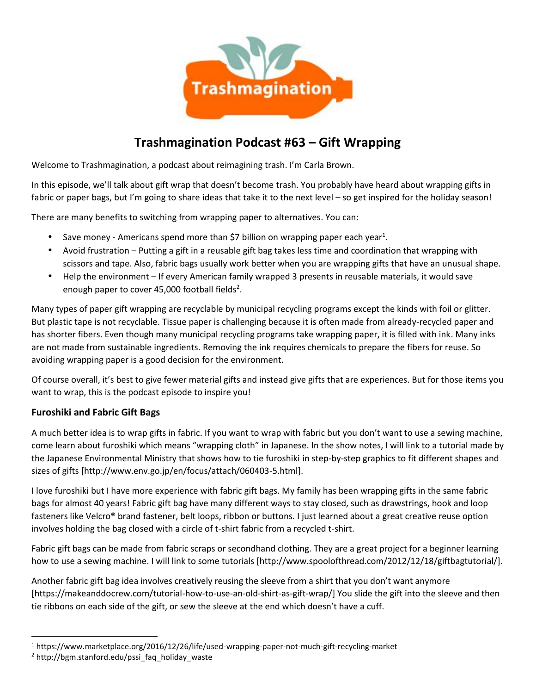

# **Trashmagination Podcast #63 – Gift Wrapping**

Welcome to Trashmagination, a podcast about reimagining trash. I'm Carla Brown.

In this episode, we'll talk about gift wrap that doesn't become trash. You probably have heard about wrapping gifts in fabric or paper bags, but I'm going to share ideas that take it to the next level – so get inspired for the holiday season!

There are many benefits to switching from wrapping paper to alternatives. You can:

- Save money Americans spend more than \$7 billion on wrapping paper each year<sup>1</sup>.
- Avoid frustration Putting a gift in a reusable gift bag takes less time and coordination that wrapping with scissors and tape. Also, fabric bags usually work better when you are wrapping gifts that have an unusual shape.
- Help the environment If every American family wrapped 3 presents in reusable materials, it would save enough paper to cover 45,000 football fields<sup>2</sup>.

Many types of paper gift wrapping are recyclable by municipal recycling programs except the kinds with foil or glitter. But plastic tape is not recyclable. Tissue paper is challenging because it is often made from already-recycled paper and has shorter fibers. Even though many municipal recycling programs take wrapping paper, it is filled with ink. Many inks are not made from sustainable ingredients. Removing the ink requires chemicals to prepare the fibers for reuse. So avoiding wrapping paper is a good decision for the environment.

Of course overall, it's best to give fewer material gifts and instead give gifts that are experiences. But for those items you want to wrap, this is the podcast episode to inspire you!

## **Furoshiki and Fabric Gift Bags**

A much better idea is to wrap gifts in fabric. If you want to wrap with fabric but you don't want to use a sewing machine, come learn about furoshiki which means "wrapping cloth" in Japanese. In the show notes, I will link to a tutorial made by the Japanese Environmental Ministry that shows how to tie furoshiki in step-by-step graphics to fit different shapes and sizes of gifts [http://www.env.go.jp/en/focus/attach/060403-5.html].

I love furoshiki but I have more experience with fabric gift bags. My family has been wrapping gifts in the same fabric bags for almost 40 years! Fabric gift bag have many different ways to stay closed, such as drawstrings, hook and loop fasteners like Velcro® brand fastener, belt loops, ribbon or buttons. I just learned about a great creative reuse option involves holding the bag closed with a circle of t-shirt fabric from a recycled t-shirt.

Fabric gift bags can be made from fabric scraps or secondhand clothing. They are a great project for a beginner learning how to use a sewing machine. I will link to some tutorials [http://www.spoolofthread.com/2012/12/18/giftbagtutorial/].

Another fabric gift bag idea involves creatively reusing the sleeve from a shirt that you don't want anymore [https://makeanddocrew.com/tutorial-how-to-use-an-old-shirt-as-gift-wrap/] You slide the gift into the sleeve and then tie ribbons on each side of the gift, or sew the sleeve at the end which doesn't have a cuff.

<sup>1</sup> https://www.marketplace.org/2016/12/26/life/used-wrapping-paper-not-much-gift-recycling-market

 $2$  http://bgm.stanford.edu/pssi\_faq\_holiday\_waste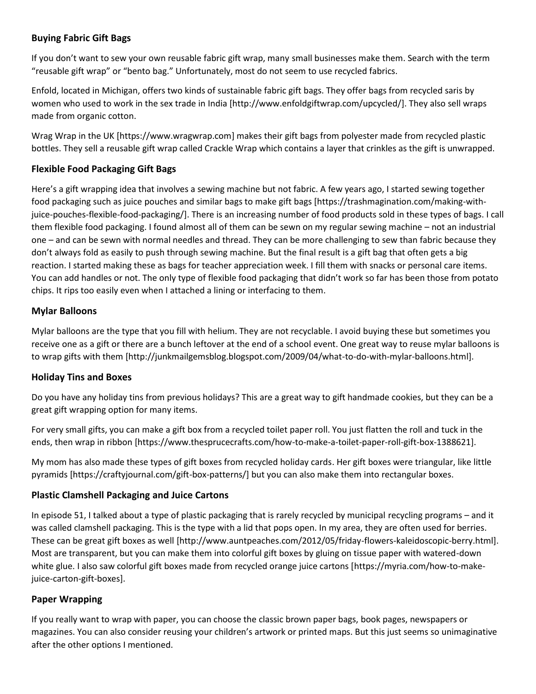# **Buying Fabric Gift Bags**

If you don't want to sew your own reusable fabric gift wrap, many small businesses make them. Search with the term "reusable gift wrap" or "bento bag." Unfortunately, most do not seem to use recycled fabrics.

Enfold, located in Michigan, offers two kinds of sustainable fabric gift bags. They offer bags from recycled saris by women who used to work in the sex trade in India [http://www.enfoldgiftwrap.com/upcycled/]. They also sell wraps made from organic cotton.

Wrag Wrap in the UK [https://www.wragwrap.com] makes their gift bags from polyester made from recycled plastic bottles. They sell a reusable gift wrap called Crackle Wrap which contains a layer that crinkles as the gift is unwrapped.

# **Flexible Food Packaging Gift Bags**

Here's a gift wrapping idea that involves a sewing machine but not fabric. A few years ago, I started sewing together food packaging such as juice pouches and similar bags to make gift bags [https://trashmagination.com/making-withjuice-pouches-flexible-food-packaging/]. There is an increasing number of food products sold in these types of bags. I call them flexible food packaging. I found almost all of them can be sewn on my regular sewing machine – not an industrial one – and can be sewn with normal needles and thread. They can be more challenging to sew than fabric because they don't always fold as easily to push through sewing machine. But the final result is a gift bag that often gets a big reaction. I started making these as bags for teacher appreciation week. I fill them with snacks or personal care items. You can add handles or not. The only type of flexible food packaging that didn't work so far has been those from potato chips. It rips too easily even when I attached a lining or interfacing to them.

## **Mylar Balloons**

Mylar balloons are the type that you fill with helium. They are not recyclable. I avoid buying these but sometimes you receive one as a gift or there are a bunch leftover at the end of a school event. One great way to reuse mylar balloons is to wrap gifts with them [http://junkmailgemsblog.blogspot.com/2009/04/what-to-do-with-mylar-balloons.html].

## **Holiday Tins and Boxes**

Do you have any holiday tins from previous holidays? This are a great way to gift handmade cookies, but they can be a great gift wrapping option for many items.

For very small gifts, you can make a gift box from a recycled toilet paper roll. You just flatten the roll and tuck in the ends, then wrap in ribbon [https://www.thesprucecrafts.com/how-to-make-a-toilet-paper-roll-gift-box-1388621].

My mom has also made these types of gift boxes from recycled holiday cards. Her gift boxes were triangular, like little pyramids [https://craftyjournal.com/gift-box-patterns/] but you can also make them into rectangular boxes.

#### **Plastic Clamshell Packaging and Juice Cartons**

In episode 51, I talked about a type of plastic packaging that is rarely recycled by municipal recycling programs – and it was called clamshell packaging. This is the type with a lid that pops open. In my area, they are often used for berries. These can be great gift boxes as well [http://www.auntpeaches.com/2012/05/friday-flowers-kaleidoscopic-berry.html]. Most are transparent, but you can make them into colorful gift boxes by gluing on tissue paper with watered-down white glue. I also saw colorful gift boxes made from recycled orange juice cartons [https://myria.com/how-to-makejuice-carton-gift-boxes].

## **Paper Wrapping**

If you really want to wrap with paper, you can choose the classic brown paper bags, book pages, newspapers or magazines. You can also consider reusing your children's artwork or printed maps. But this just seems so unimaginative after the other options I mentioned.